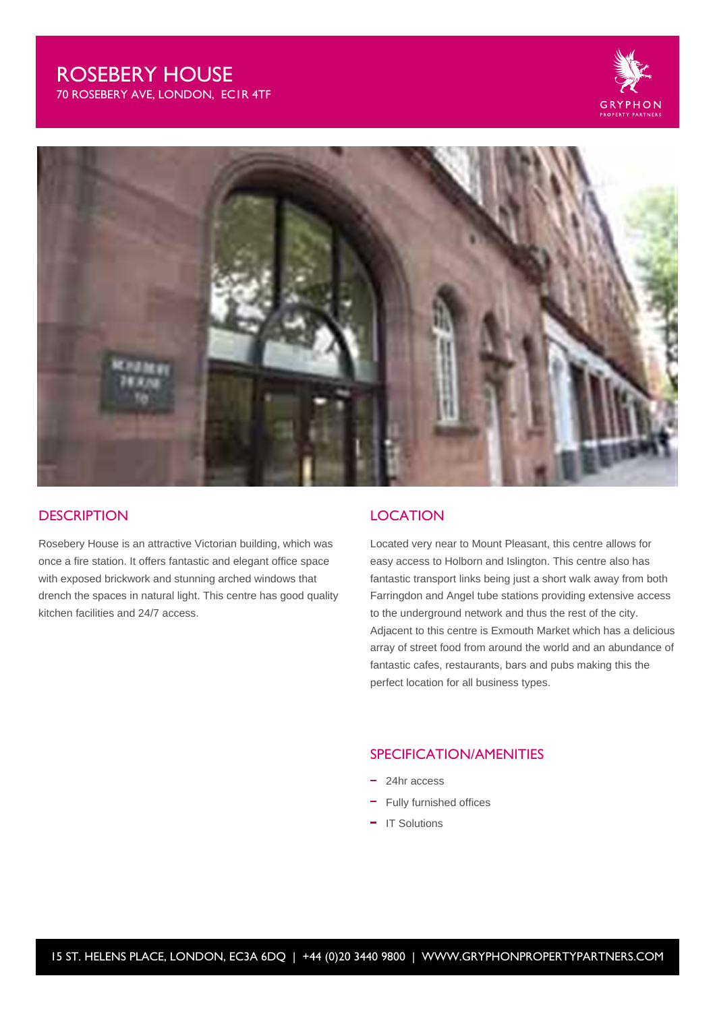# ROSEBERY HOUSE

70 ROSEBERY AVE, LONDON, EC1R 4TF





#### **DESCRIPTION**

Rosebery House is an attractive Victorian building, which was once a fire station. It offers fantastic and elegant office space with exposed brickwork and stunning arched windows that drench the spaces in natural light. This centre has good quality kitchen facilities and 24/7 access.

#### **LOCATION**

Located very near to Mount Pleasant, this centre allows for easy access to Holborn and Islington. This centre also has fantastic transport links being just a short walk away from both Farringdon and Angel tube stations providing extensive access to the underground network and thus the rest of the city. Adjacent to this centre is Exmouth Market which has a delicious array of street food from around the world and an abundance of fantastic cafes, restaurants, bars and pubs making this the perfect location for all business types.

### SPECIFICATION/AMENITIES

- 24hr access
- Fully furnished offices
- IT Solutions